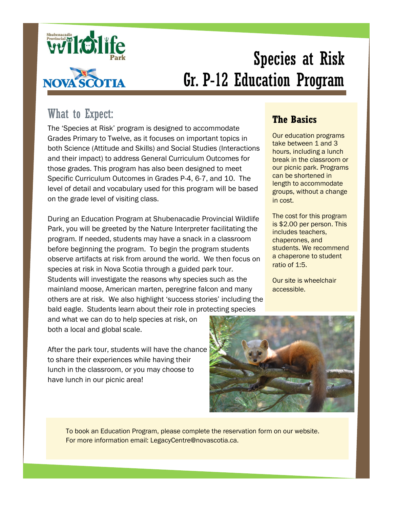

# Species at Risk Gr. P-12 Education Program

## What to Expect:

The 'Species at Risk' program is designed to accommodate Grades Primary to Twelve, as it focuses on important topics in both Science (Attitude and Skills) and Social Studies (Interactions and their impact) to address General Curriculum Outcomes for those grades. This program has also been designed to meet Specific Curriculum Outcomes in Grades P-4, 6-7, and 10. The level of detail and vocabulary used for this program will be based on the grade level of visiting class.

During an Education Program at Shubenacadie Provincial Wildlife Park, you will be greeted by the Nature Interpreter facilitating the program. If needed, students may have a snack in a classroom before beginning the program. To begin the program students observe artifacts at risk from around the world. We then focus on species at risk in Nova Scotia through a guided park tour. Students will investigate the reasons why species such as the mainland moose, American marten, peregrine falcon and many others are at risk. We also highlight 'success stories' including the bald eagle. Students learn about their role in protecting species

and what we can do to help species at risk, on both a local and global scale.

After the park tour, students will have the chance to share their experiences while having their lunch in the classroom, or you may choose to have lunch in our picnic area!

### **The Basics**

Our education programs take between 1 and 3 hours, including a lunch break in the classroom or our picnic park. Programs can be shortened in length to accommodate groups, without a change in cost.

The cost for this program is \$2.00 per person. This includes teachers, chaperones, and students. We recommend a chaperone to student ratio of 1:5.

Our site is wheelchair accessible.



To book an Education Program, please complete the reservation form on our website. For more information email: LegacyCentre@novascotia.ca.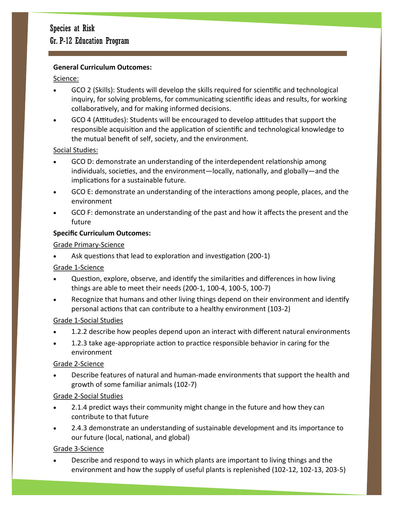#### **General Curriculum Outcomes:**

#### Science:

- GCO 2 (Skills): Students will develop the skills required for scientific and technological inquiry, for solving problems, for communicating scientific ideas and results, for working collaboratively, and for making informed decisions.
- GCO 4 (Attitudes): Students will be encouraged to develop attitudes that support the responsible acquisition and the application of scientific and technological knowledge to the mutual benefit of self, society, and the environment.

#### Social Studies:

- GCO D: demonstrate an understanding of the interdependent relationship among individuals, societies, and the environment—locally, nationally, and globally—and the implications for a sustainable future.
- GCO E: demonstrate an understanding of the interactions among people, places, and the environment
- GCO F: demonstrate an understanding of the past and how it affects the present and the future

#### **Specific Curriculum Outcomes:**

#### Grade Primary-Science

Ask questions that lead to exploration and investigation (200-1)

#### Grade 1-Science

- Question, explore, observe, and identify the similarities and differences in how living things are able to meet their needs (200-1, 100-4, 100-5, 100-7)
- Recognize that humans and other living things depend on their environment and identify personal actions that can contribute to a healthy environment (103-2)

#### Grade 1-Social Studies

- 1.2.2 describe how peoples depend upon an interact with different natural environments
- 1.2.3 take age-appropriate action to practice responsible behavior in caring for the environment

#### Grade 2-Science

 Describe features of natural and human-made environments that support the health and growth of some familiar animals (102-7)

#### Grade 2-Social Studies

- 2.1.4 predict ways their community might change in the future and how they can contribute to that future
- 2.4.3 demonstrate an understanding of sustainable development and its importance to our future (local, national, and global)

#### Grade 3-Science

 Describe and respond to ways in which plants are important to living things and the environment and how the supply of useful plants is replenished (102-12, 102-13, 203-5)